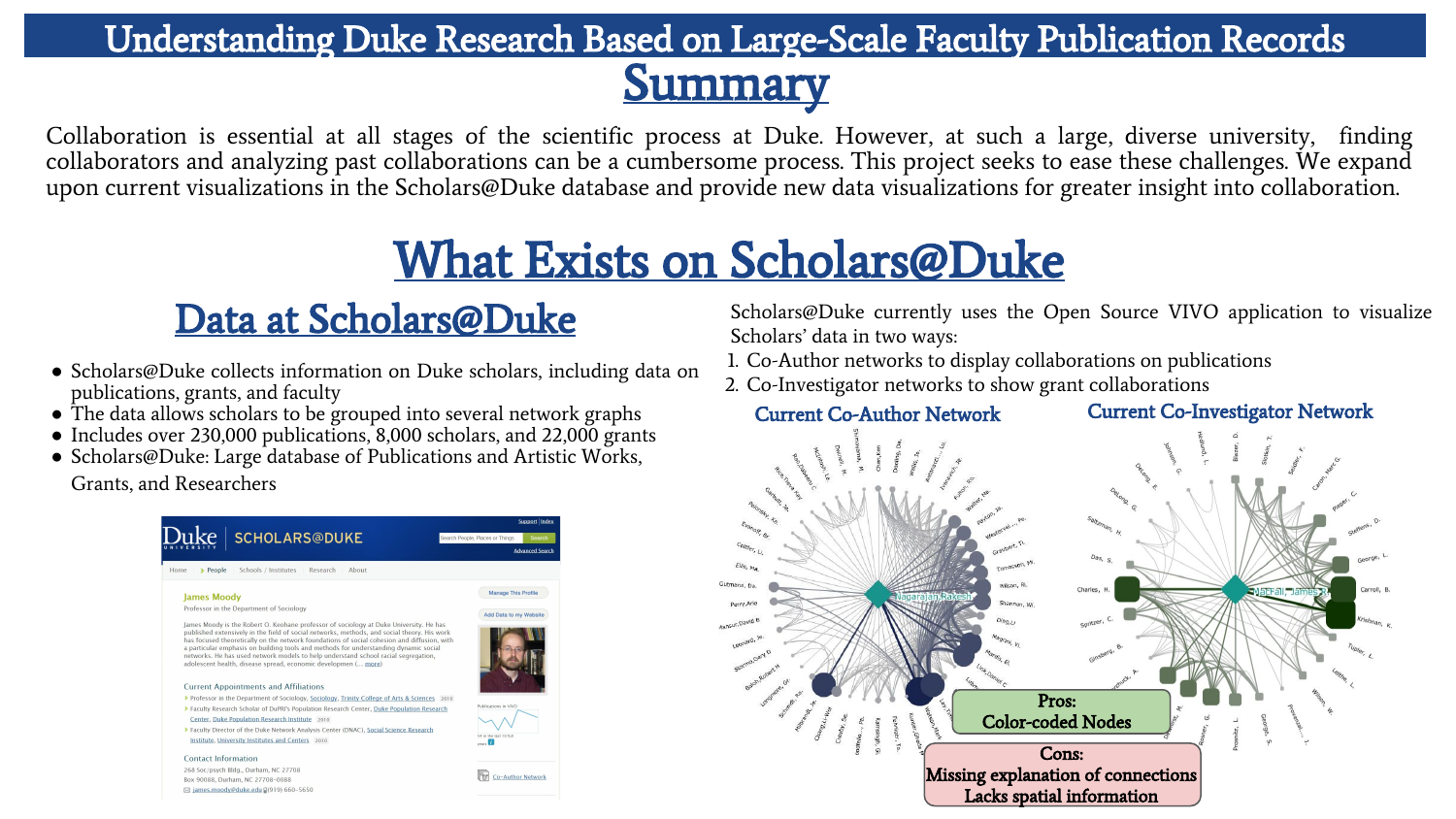# Understanding Duke Research Based on Large-Scale Faculty Publication Records

**Summary** 

Collaboration is essential at all stages of the scientific process at Duke. However, at such a large, diverse university, finding collaborators and analyzing past collaborations can be a cumbersome process. This project seeks to ease these challenges. We expand upon current visualizations in the Scholars@Duke database and provide new data visualizations for greater insight into collaboration.

## What Exists on Scholars@Duke

## Data at Scholars@Duke

- Scholars@Duke collects information on Duke scholars, including data on publications, grants, and faculty
- The data allows scholars to be grouped into several network graphs
- Includes over 230,000 publications, 8,000 scholars, and 22,000 grants
- Scholars@Duke: Large database of Publications and Artistic Works,

Grants, and Researchers



Scholars@Duke currently uses the Open Source VIVO application to visualize Scholars' data in two ways:

- 1. Co-Author networks to display collaborations on publications
- 2. Co-Investigator networks to show grant collaborations

Current Co-Author Network Current Co-Investigator Network

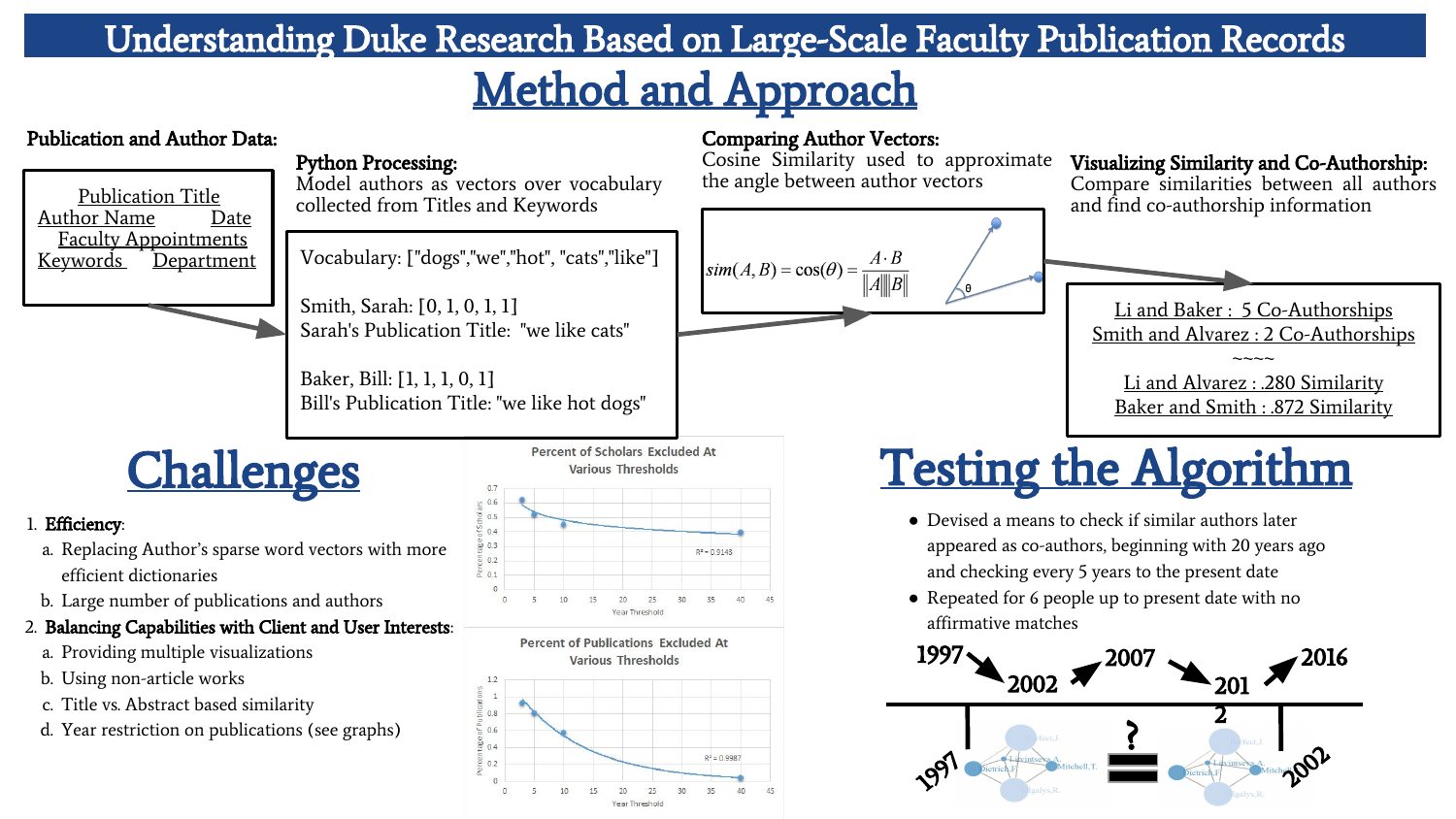### Understanding Duke Research Based on Large-Scale Faculty Publication Records

## Method and Approach

#### Publication and Author Data:



#### Python Processing:

Model authors as vectors over vocabulary Publication Title<br>
and find co-authorship information<br>
and find co-authorship information<br>
Publication Titles and Keywords<br>
and find co-authorship information

Kocabulary: ["dogs","we","hot", "cats","like"]

Smith, Sarah: [0, 1, 0, 1, 1] Sarah's Publication Title: "we like cats"

Baker, Bill: [1, 1, 1, 0, 1] Bill's Publication Title: "we like hot dogs"

**Challenges** 

#### 1. Efficiency:

- a. Replacing Author's sparse word vectors with more efficient dictionaries
- b. Large number of publications and authors
- 2. Balancing Capabilities with Client and User Interests:
	- a. Providing multiple visualizations
	- b. Using non-article works
	- c. Title vs. Abstract based similarity
	- d. Year restriction on publications (see graphs)







#### Comparing Author Vectors:

Cosine Similarity used to approximate the angle between author vectors



#### Visualizing Similarity and Co-Authorship:

Compare similarities between all authors<br>and find co-authorship information



Baker and Smith : .872 Similarity

# Testing the Algorithm

- Devised a means to check if similar authors later appeared as co-authors, beginning with 20 years ago and checking every 5 years to the present date
- Repeated for 6 people up to present date with no affirmative matches